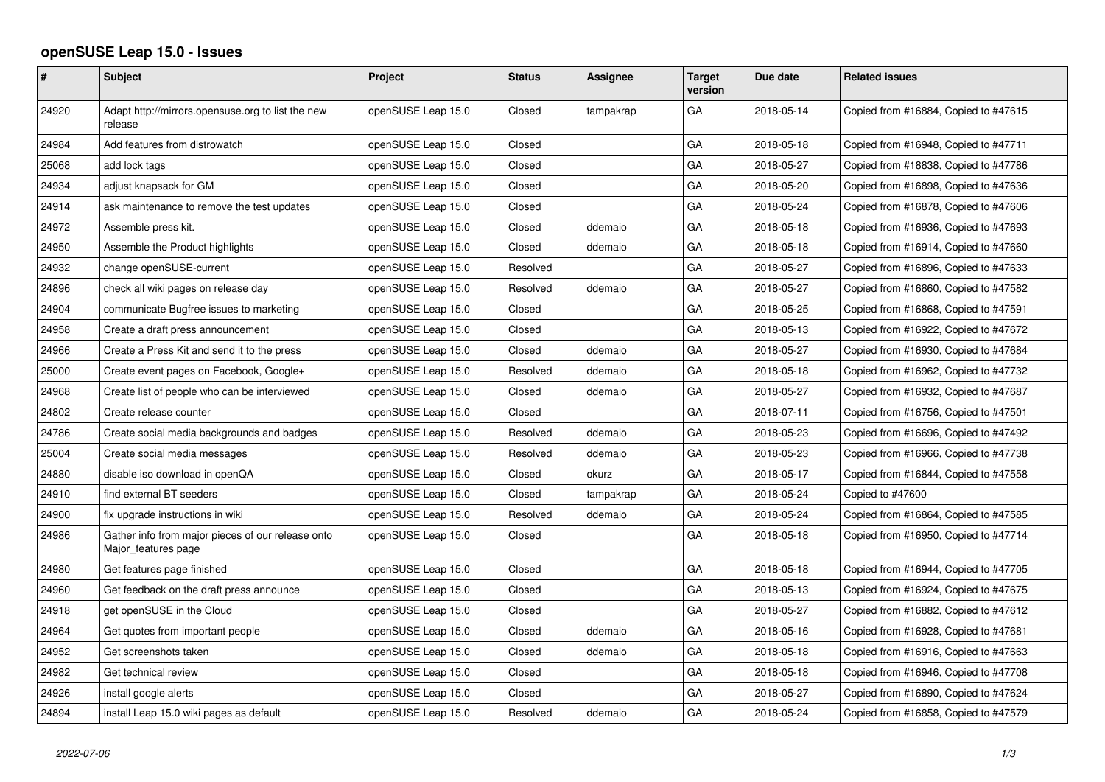## **openSUSE Leap 15.0 - Issues**

| $\pmb{\#}$ | <b>Subject</b>                                                           | Project            | <b>Status</b> | <b>Assignee</b> | <b>Target</b><br>version | Due date   | <b>Related issues</b>                |
|------------|--------------------------------------------------------------------------|--------------------|---------------|-----------------|--------------------------|------------|--------------------------------------|
| 24920      | Adapt http://mirrors.opensuse.org to list the new<br>release             | openSUSE Leap 15.0 | Closed        | tampakrap       | GA                       | 2018-05-14 | Copied from #16884, Copied to #47615 |
| 24984      | Add features from distrowatch                                            | openSUSE Leap 15.0 | Closed        |                 | GA                       | 2018-05-18 | Copied from #16948, Copied to #47711 |
| 25068      | add lock tags                                                            | openSUSE Leap 15.0 | Closed        |                 | GA                       | 2018-05-27 | Copied from #18838, Copied to #47786 |
| 24934      | adjust knapsack for GM                                                   | openSUSE Leap 15.0 | Closed        |                 | GA                       | 2018-05-20 | Copied from #16898, Copied to #47636 |
| 24914      | ask maintenance to remove the test updates                               | openSUSE Leap 15.0 | Closed        |                 | GA                       | 2018-05-24 | Copied from #16878, Copied to #47606 |
| 24972      | Assemble press kit.                                                      | openSUSE Leap 15.0 | Closed        | ddemaio         | GA                       | 2018-05-18 | Copied from #16936, Copied to #47693 |
| 24950      | Assemble the Product highlights                                          | openSUSE Leap 15.0 | Closed        | ddemaio         | GA                       | 2018-05-18 | Copied from #16914, Copied to #47660 |
| 24932      | change openSUSE-current                                                  | openSUSE Leap 15.0 | Resolved      |                 | GA                       | 2018-05-27 | Copied from #16896, Copied to #47633 |
| 24896      | check all wiki pages on release day                                      | openSUSE Leap 15.0 | Resolved      | ddemaio         | GA                       | 2018-05-27 | Copied from #16860, Copied to #47582 |
| 24904      | communicate Bugfree issues to marketing                                  | openSUSE Leap 15.0 | Closed        |                 | GA                       | 2018-05-25 | Copied from #16868, Copied to #47591 |
| 24958      | Create a draft press announcement                                        | openSUSE Leap 15.0 | Closed        |                 | GA                       | 2018-05-13 | Copied from #16922, Copied to #47672 |
| 24966      | Create a Press Kit and send it to the press                              | openSUSE Leap 15.0 | Closed        | ddemaio         | GA                       | 2018-05-27 | Copied from #16930, Copied to #47684 |
| 25000      | Create event pages on Facebook, Google+                                  | openSUSE Leap 15.0 | Resolved      | ddemaio         | GA                       | 2018-05-18 | Copied from #16962, Copied to #47732 |
| 24968      | Create list of people who can be interviewed                             | openSUSE Leap 15.0 | Closed        | ddemaio         | GA                       | 2018-05-27 | Copied from #16932, Copied to #47687 |
| 24802      | Create release counter                                                   | openSUSE Leap 15.0 | Closed        |                 | GA                       | 2018-07-11 | Copied from #16756, Copied to #47501 |
| 24786      | Create social media backgrounds and badges                               | openSUSE Leap 15.0 | Resolved      | ddemaio         | GA                       | 2018-05-23 | Copied from #16696, Copied to #47492 |
| 25004      | Create social media messages                                             | openSUSE Leap 15.0 | Resolved      | ddemaio         | GA                       | 2018-05-23 | Copied from #16966, Copied to #47738 |
| 24880      | disable iso download in openQA                                           | openSUSE Leap 15.0 | Closed        | okurz           | GA                       | 2018-05-17 | Copied from #16844, Copied to #47558 |
| 24910      | find external BT seeders                                                 | openSUSE Leap 15.0 | Closed        | tampakrap       | GA                       | 2018-05-24 | Copied to #47600                     |
| 24900      | fix upgrade instructions in wiki                                         | openSUSE Leap 15.0 | Resolved      | ddemaio         | GA                       | 2018-05-24 | Copied from #16864, Copied to #47585 |
| 24986      | Gather info from major pieces of our release onto<br>Major_features page | openSUSE Leap 15.0 | Closed        |                 | GA                       | 2018-05-18 | Copied from #16950, Copied to #47714 |
| 24980      | Get features page finished                                               | openSUSE Leap 15.0 | Closed        |                 | GA                       | 2018-05-18 | Copied from #16944, Copied to #47705 |
| 24960      | Get feedback on the draft press announce                                 | openSUSE Leap 15.0 | Closed        |                 | GA                       | 2018-05-13 | Copied from #16924, Copied to #47675 |
| 24918      | get openSUSE in the Cloud                                                | openSUSE Leap 15.0 | Closed        |                 | GA                       | 2018-05-27 | Copied from #16882, Copied to #47612 |
| 24964      | Get quotes from important people                                         | openSUSE Leap 15.0 | Closed        | ddemaio         | GA                       | 2018-05-16 | Copied from #16928, Copied to #47681 |
| 24952      | Get screenshots taken                                                    | openSUSE Leap 15.0 | Closed        | ddemaio         | GA                       | 2018-05-18 | Copied from #16916, Copied to #47663 |
| 24982      | Get technical review                                                     | openSUSE Leap 15.0 | Closed        |                 | GA                       | 2018-05-18 | Copied from #16946, Copied to #47708 |
| 24926      | install google alerts                                                    | openSUSE Leap 15.0 | Closed        |                 | GA                       | 2018-05-27 | Copied from #16890, Copied to #47624 |
| 24894      | install Leap 15.0 wiki pages as default                                  | openSUSE Leap 15.0 | Resolved      | ddemaio         | GA                       | 2018-05-24 | Copied from #16858, Copied to #47579 |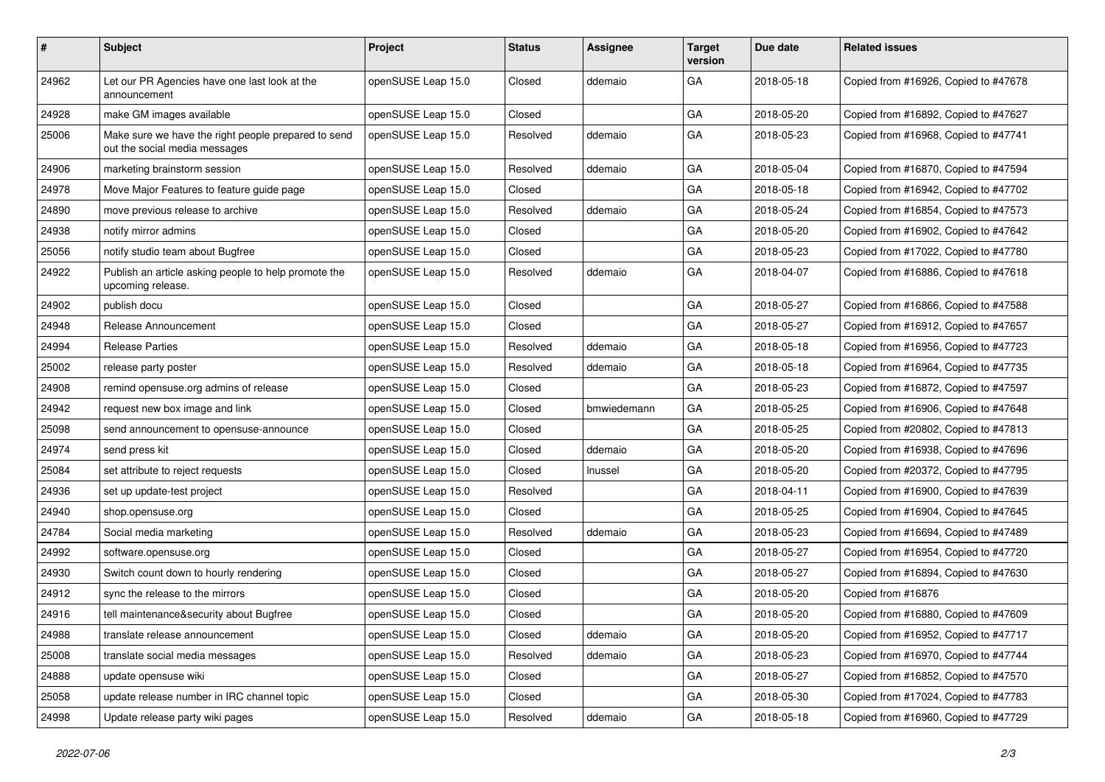| $\vert$ # | Subject                                                                              | Project            | <b>Status</b> | <b>Assignee</b> | <b>Target</b><br>version | Due date   | <b>Related issues</b>                |
|-----------|--------------------------------------------------------------------------------------|--------------------|---------------|-----------------|--------------------------|------------|--------------------------------------|
| 24962     | Let our PR Agencies have one last look at the<br>announcement                        | openSUSE Leap 15.0 | Closed        | ddemaio         | GA                       | 2018-05-18 | Copied from #16926, Copied to #47678 |
| 24928     | make GM images available                                                             | openSUSE Leap 15.0 | Closed        |                 | GA                       | 2018-05-20 | Copied from #16892, Copied to #47627 |
| 25006     | Make sure we have the right people prepared to send<br>out the social media messages | openSUSE Leap 15.0 | Resolved      | ddemaio         | GA                       | 2018-05-23 | Copied from #16968, Copied to #47741 |
| 24906     | marketing brainstorm session                                                         | openSUSE Leap 15.0 | Resolved      | ddemaio         | GA                       | 2018-05-04 | Copied from #16870, Copied to #47594 |
| 24978     | Move Major Features to feature guide page                                            | openSUSE Leap 15.0 | Closed        |                 | GA                       | 2018-05-18 | Copied from #16942, Copied to #47702 |
| 24890     | move previous release to archive                                                     | openSUSE Leap 15.0 | Resolved      | ddemaio         | GA                       | 2018-05-24 | Copied from #16854, Copied to #47573 |
| 24938     | notify mirror admins                                                                 | openSUSE Leap 15.0 | Closed        |                 | GA                       | 2018-05-20 | Copied from #16902, Copied to #47642 |
| 25056     | notify studio team about Bugfree                                                     | openSUSE Leap 15.0 | Closed        |                 | GA                       | 2018-05-23 | Copied from #17022, Copied to #47780 |
| 24922     | Publish an article asking people to help promote the<br>upcoming release.            | openSUSE Leap 15.0 | Resolved      | ddemaio         | GA                       | 2018-04-07 | Copied from #16886, Copied to #47618 |
| 24902     | publish docu                                                                         | openSUSE Leap 15.0 | Closed        |                 | GA                       | 2018-05-27 | Copied from #16866, Copied to #47588 |
| 24948     | Release Announcement                                                                 | openSUSE Leap 15.0 | Closed        |                 | GA                       | 2018-05-27 | Copied from #16912, Copied to #47657 |
| 24994     | <b>Release Parties</b>                                                               | openSUSE Leap 15.0 | Resolved      | ddemaio         | GA                       | 2018-05-18 | Copied from #16956, Copied to #47723 |
| 25002     | release party poster                                                                 | openSUSE Leap 15.0 | Resolved      | ddemaio         | GA                       | 2018-05-18 | Copied from #16964, Copied to #47735 |
| 24908     | remind opensuse.org admins of release                                                | openSUSE Leap 15.0 | Closed        |                 | GA                       | 2018-05-23 | Copied from #16872, Copied to #47597 |
| 24942     | request new box image and link                                                       | openSUSE Leap 15.0 | Closed        | bmwiedemann     | GA                       | 2018-05-25 | Copied from #16906, Copied to #47648 |
| 25098     | send announcement to opensuse-announce                                               | openSUSE Leap 15.0 | Closed        |                 | GA                       | 2018-05-25 | Copied from #20802, Copied to #47813 |
| 24974     | send press kit                                                                       | openSUSE Leap 15.0 | Closed        | ddemaio         | GA                       | 2018-05-20 | Copied from #16938, Copied to #47696 |
| 25084     | set attribute to reject requests                                                     | openSUSE Leap 15.0 | Closed        | Inussel         | GA                       | 2018-05-20 | Copied from #20372, Copied to #47795 |
| 24936     | set up update-test project                                                           | openSUSE Leap 15.0 | Resolved      |                 | GA                       | 2018-04-11 | Copied from #16900, Copied to #47639 |
| 24940     | shop.opensuse.org                                                                    | openSUSE Leap 15.0 | Closed        |                 | GA                       | 2018-05-25 | Copied from #16904, Copied to #47645 |
| 24784     | Social media marketing                                                               | openSUSE Leap 15.0 | Resolved      | ddemaio         | GA                       | 2018-05-23 | Copied from #16694, Copied to #47489 |
| 24992     | software.opensuse.org                                                                | openSUSE Leap 15.0 | Closed        |                 | GA                       | 2018-05-27 | Copied from #16954, Copied to #47720 |
| 24930     | Switch count down to hourly rendering                                                | openSUSE Leap 15.0 | Closed        |                 | GA                       | 2018-05-27 | Copied from #16894, Copied to #47630 |
| 24912     | sync the release to the mirrors                                                      | openSUSE Leap 15.0 | Closed        |                 | GA                       | 2018-05-20 | Copied from #16876                   |
| 24916     | tell maintenance&security about Bugfree                                              | openSUSE Leap 15.0 | Closed        |                 | GA                       | 2018-05-20 | Copied from #16880, Copied to #47609 |
| 24988     | translate release announcement                                                       | openSUSE Leap 15.0 | Closed        | ddemaio         | $\mathsf{GA}$            | 2018-05-20 | Copied from #16952, Copied to #47717 |
| 25008     | translate social media messages                                                      | openSUSE Leap 15.0 | Resolved      | ddemaio         | GA                       | 2018-05-23 | Copied from #16970, Copied to #47744 |
| 24888     | update opensuse wiki                                                                 | openSUSE Leap 15.0 | Closed        |                 | GA                       | 2018-05-27 | Copied from #16852, Copied to #47570 |
| 25058     | update release number in IRC channel topic                                           | openSUSE Leap 15.0 | Closed        |                 | GA                       | 2018-05-30 | Copied from #17024, Copied to #47783 |
| 24998     | Update release party wiki pages                                                      | openSUSE Leap 15.0 | Resolved      | ddemaio         | GA                       | 2018-05-18 | Copied from #16960, Copied to #47729 |